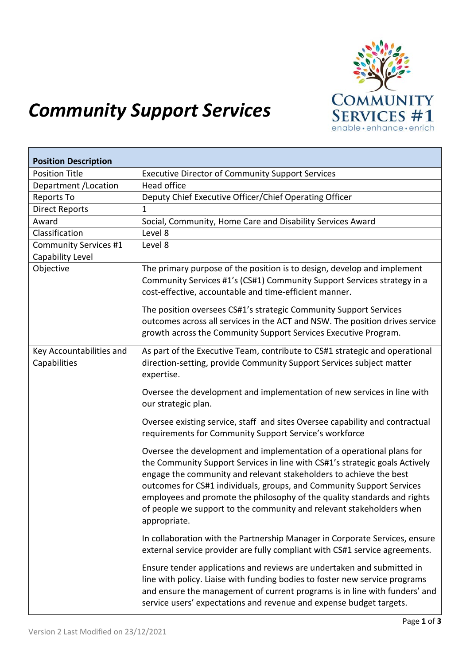

## *Community Support Services*

| <b>Position Description</b>                      |                                                                                                                                                                                                                                                                                                                                                                                                                                                                         |
|--------------------------------------------------|-------------------------------------------------------------------------------------------------------------------------------------------------------------------------------------------------------------------------------------------------------------------------------------------------------------------------------------------------------------------------------------------------------------------------------------------------------------------------|
| <b>Position Title</b>                            | <b>Executive Director of Community Support Services</b>                                                                                                                                                                                                                                                                                                                                                                                                                 |
| Department / Location                            | Head office                                                                                                                                                                                                                                                                                                                                                                                                                                                             |
| Reports To                                       | Deputy Chief Executive Officer/Chief Operating Officer                                                                                                                                                                                                                                                                                                                                                                                                                  |
| <b>Direct Reports</b>                            | $\mathbf{1}$                                                                                                                                                                                                                                                                                                                                                                                                                                                            |
| Award                                            | Social, Community, Home Care and Disability Services Award                                                                                                                                                                                                                                                                                                                                                                                                              |
| Classification                                   | Level 8                                                                                                                                                                                                                                                                                                                                                                                                                                                                 |
| <b>Community Services #1</b><br>Capability Level | Level 8                                                                                                                                                                                                                                                                                                                                                                                                                                                                 |
| Objective                                        | The primary purpose of the position is to design, develop and implement<br>Community Services #1's (CS#1) Community Support Services strategy in a<br>cost-effective, accountable and time-efficient manner.                                                                                                                                                                                                                                                            |
|                                                  | The position oversees CS#1's strategic Community Support Services<br>outcomes across all services in the ACT and NSW. The position drives service<br>growth across the Community Support Services Executive Program.                                                                                                                                                                                                                                                    |
| Key Accountabilities and<br>Capabilities         | As part of the Executive Team, contribute to CS#1 strategic and operational<br>direction-setting, provide Community Support Services subject matter<br>expertise.                                                                                                                                                                                                                                                                                                       |
|                                                  | Oversee the development and implementation of new services in line with<br>our strategic plan.                                                                                                                                                                                                                                                                                                                                                                          |
|                                                  | Oversee existing service, staff and sites Oversee capability and contractual<br>requirements for Community Support Service's workforce                                                                                                                                                                                                                                                                                                                                  |
|                                                  | Oversee the development and implementation of a operational plans for<br>the Community Support Services in line with CS#1's strategic goals Actively<br>engage the community and relevant stakeholders to achieve the best<br>outcomes for CS#1 individuals, groups, and Community Support Services<br>employees and promote the philosophy of the quality standards and rights<br>of people we support to the community and relevant stakeholders when<br>appropriate. |
|                                                  | In collaboration with the Partnership Manager in Corporate Services, ensure<br>external service provider are fully compliant with CS#1 service agreements.                                                                                                                                                                                                                                                                                                              |
|                                                  | Ensure tender applications and reviews are undertaken and submitted in<br>line with policy. Liaise with funding bodies to foster new service programs<br>and ensure the management of current programs is in line with funders' and<br>service users' expectations and revenue and expense budget targets.                                                                                                                                                              |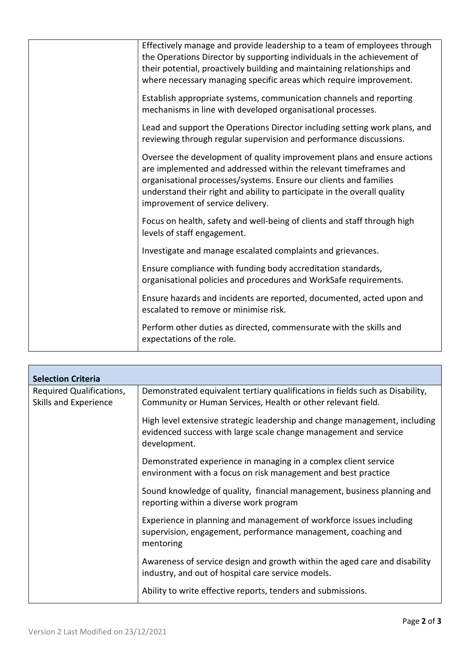| Effectively manage and provide leadership to a team of employees through<br>the Operations Director by supporting individuals in the achievement of<br>their potential, proactively building and maintaining relationships and<br>where necessary managing specific areas which require improvement.                             |
|----------------------------------------------------------------------------------------------------------------------------------------------------------------------------------------------------------------------------------------------------------------------------------------------------------------------------------|
| Establish appropriate systems, communication channels and reporting<br>mechanisms in line with developed organisational processes.                                                                                                                                                                                               |
| Lead and support the Operations Director including setting work plans, and<br>reviewing through regular supervision and performance discussions.                                                                                                                                                                                 |
| Oversee the development of quality improvement plans and ensure actions<br>are implemented and addressed within the relevant timeframes and<br>organisational processes/systems. Ensure our clients and families<br>understand their right and ability to participate in the overall quality<br>improvement of service delivery. |
| Focus on health, safety and well-being of clients and staff through high<br>levels of staff engagement.                                                                                                                                                                                                                          |
| Investigate and manage escalated complaints and grievances.                                                                                                                                                                                                                                                                      |
| Ensure compliance with funding body accreditation standards,<br>organisational policies and procedures and WorkSafe requirements.                                                                                                                                                                                                |
| Ensure hazards and incidents are reported, documented, acted upon and<br>escalated to remove or minimise risk.                                                                                                                                                                                                                   |
| Perform other duties as directed, commensurate with the skills and<br>expectations of the role.                                                                                                                                                                                                                                  |

| <b>Selection Criteria</b>                         |                                                                                                                                                                |
|---------------------------------------------------|----------------------------------------------------------------------------------------------------------------------------------------------------------------|
| Required Qualifications,<br>Skills and Experience | Demonstrated equivalent tertiary qualifications in fields such as Disability,<br>Community or Human Services, Health or other relevant field.                  |
|                                                   | High level extensive strategic leadership and change management, including<br>evidenced success with large scale change management and service<br>development. |
|                                                   | Demonstrated experience in managing in a complex client service<br>environment with a focus on risk management and best practice                               |
|                                                   | Sound knowledge of quality, financial management, business planning and<br>reporting within a diverse work program                                             |
|                                                   | Experience in planning and management of workforce issues including<br>supervision, engagement, performance management, coaching and<br>mentoring              |
|                                                   | Awareness of service design and growth within the aged care and disability<br>industry, and out of hospital care service models.                               |
|                                                   | Ability to write effective reports, tenders and submissions.                                                                                                   |